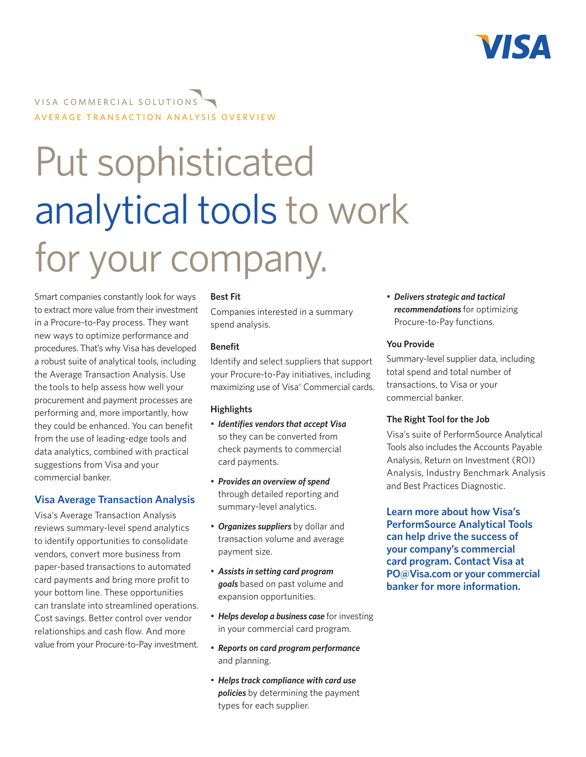

# VISA COMMERCIAL SOLUTIONS AVERAGE TRANSACTION ANALYSIS OVERVIEW

# Put sophisticated analytical tools to work for your company.

Smart companies constantly look for ways to extract more value from their investment in a Procure-to-Pay process. They want new ways to optimize performance and procedures. That's why Visa has developed a robust suite of analytical tools, including the Average Transaction Analysis. Use the tools to help assess how well your procurement and payment processes are performing and, more importantly, how they could be enhanced. You can benefit from the use of leading-edge tools and data analytics, combined with practical suggestions from Visa and your commercial banker.

### **Visa Average Transaction Analysis**

Visa's Average Transaction Analysis reviews summary-level spend analytics to identify opportunities to consolidate vendors, convert more business from paper-based transactions to automated card payments and bring more profit to your bottom line. These opportunities can translate into streamlined operations. Cost savings. Better control over vendor relationships and cash flow. And more value from your Procure-to-Pay investment.

#### **Best Fit**

Companies interested in a summary spend analysis.

#### **Benefit**

Identify and select suppliers that support your Procure-to-Pay initiatives, including maximizing use of Visa® Commercial cards.

#### **Highlights**

- • *Identifies vendors that accept Visa* so they can be converted from check payments to commercial card payments.
- • *Provides an overview of spend*  through detailed reporting and summary-level analytics.
- • *Organizes suppliers* by dollar and transaction volume and average payment size.
- • *Assists in setting card program goals* based on past volume and expansion opportunities.
- **Helps develop a business case** for investing in your commercial card program.
- • *Reports on card program performance*  and planning.
- • *Helps track compliance with card use policies* by determining the payment types for each supplier.

• *Delivers strategic and tactical recommendations* for optimizing Procure-to-Pay functions.

#### **You Provide**

Summary-level supplier data, including total spend and total number of transactions, to Visa or your commercial banker.

#### **The Right Tool for the Job**

Visa's suite of PerformSource Analytical Tools also includes the Accounts Payable Analysis, Return on Investment (ROI) Analysis, Industry Benchmark Analysis and Best Practices Diagnostic.

**Learn more about how Visa's PerformSource Analytical Tools can help drive the success of your company's commercial card program. Contact Visa at PO@Visa.com or your commercial banker for more information.**